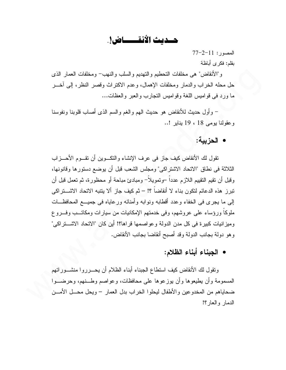حسديث الأنقــــاض!.

 $77 - 2 - 11$ : المصدور بقلم: فكرى أباظة

و"الأنقاض" هي مخلفات التحطيم والتهديم والسلب والنهب– ومخلفات العمار الذي حل محله الخراب والدمار ومخلفات الإهمال، وعدم الاكتراث وقصر النظر، إلى أخـــر ما ورد في قواميس اللغة وقواميس النجارب والعبر والعظات...

– وأول حديث للأنقاض هو حديث الهم والغم والسم الذي أصاب قلوبنا ونفوسنا وعقولنا يومي 18 ، 19 يناير !..

## • الحزبية:

تقول لك الأنقاض كيف جازٍ في عرف الإنشاء والنكسوين أن تقسوم الأحسز اب الثلاثة في نطاق "الاتحاد الاشتراكي" ومجلس الشعب قبل أن يوضع دستورها وقانونها، وفيل أن نقيم النقييم اللازم عدداً –وتمويلاً– ومبادئ مباحة أو محظورة، ثم تعمل قبل أن تبرز ٍ هذه الدعائم لتكون بناء لا أنقاضاً ؟! – ثم كيف جازٍ ألا يتتبه الاتحاد الاشـــتراكي إلى ما يجرى في الخفاء وعدد أقطابه ونوابه وأمنائه ورعاياه في جميـــع المحافظـــات ملوكا ورؤساء على عروشهم، وفي خدمتهم الإمكانيات من سيارات ومكاتــب وفـــروع و ميز انيات كبير ة في كل مدن الدولة و عو اصمها قر اها؟! أين كان "الاتحاد الاشــــتر اكي" وهو دولة بجانب الدولة وقد أصبح أنقاضا بجانب الأنقاض.

### • الجبناء أبناء الظلام:

وتقول لك الأنقاض كيف استطاع الجبناء أبناء الظلام أن يحسر روا منشسور اتهم المسمومة وأن يطيعوها وأن يوزعوها على محافظات، وعواصم وطــنهم، وحرضــوا ضحاياهم من المخدوعين والأطفال ليحلوا الخراب بدل العمار – ويحل محـــل الأمـــن الدمار والعار؟!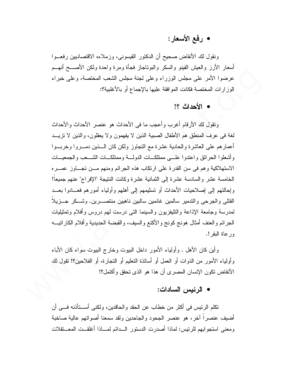# • رفع الأسعار:

ونقول لك الأنقاض صحيح أن الدكتور القيسوني، وزملاءه الاقتصاديين رفعــوا أسعار الأرز والعيش الفينو والسكر والبوناجاز فجأة ومرة واحدة ولكن الأصـــح أنهــم عرضوا الأمر على مجلس الوزراء وعلى لجنة مجلس الشعب المختصة، وعلى خبراء الوزارات المختصة فكانت الموافقة عليها بالإجماع أو بالأغلبية؟:

### • الأحداث ؟!

ونقول لك الأرقام أغرب وأعجب ما في الأحداث هو عنصر الأحداث والأحداث لغة في عرف المنطق هم الأطفال الصبية الذين لا يفهمون ولا يعقلون، والذين لا نزيـــد أعمارهم على العاشرة والحادية عشرة مع التجاوز ولكن كان السذين دمسروا وخربسوا وأشعلوا الحرائق واعتدوا علسي ممتلكــات الدولـــة وممتلكــات الشـــعب والجمعيـــات الاستهلاكية وهم في سن القدرة على ارتكاب هذه الجرائم ومنهم مسن تجساوز عصبره الخامسة عشر والسادسة عشرة إلى الثمانية عشرة وكانت النتيجة "الإفراج" عنهم جميعاً! و إحالتهم إلى إصلاحيات الأحداث أو تسليمهم إلى أهلهم و أولياء أمور هم فعـــادو ا بعـــد القتلي والجرحى والتدمير سالمين غانمين سالبين ناهبين منتصــــرين. وشـــكر جـــزيلاً لمدرسة وجامعة الإذاعة والتليفزيون والسينما النبي درست لمهم دروس وأفلام وتمثيليات الجرائم والعنف أمثال هونج كونج والأكتع والسيف، والقبضة الحديدية وأفلام الكاراتيـــه ور عاة البقر !.

و أين كان الأهل . و أولياء الأمور داخل البيوت و خار ج البيوت سو اء كان الأباء وأولياء الأمور من الذوات أو العمل أو أساتذة التعليم أو التجارة، أو الفلاحين؟! نقول لك الأنقاض نكون الإنسان المصرى أن هذا هو الذي نحقق وأكتمل؟!

### • الرئيس السادات:

نكلم الرئيس في أكثر من خطاب عن الحقد والحاقدين، ولكني أســـتأذنه فـــي أن أضيف عنصراً آخرٍ، هو عنصر الجحود والجاحدين ولقد سمعنا أصواتهم عالية صاخبة ومعنى استجوابهم للرئيس: لماذا أصدرت الدستور السدائم لمساذا أغلقست المعستقلات